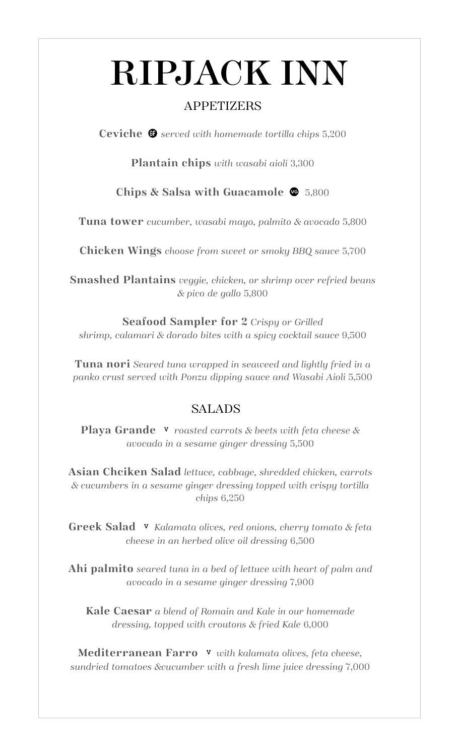# RIPJACK INN

### APPETIZERS

**Ceviche**  $\bullet$  served with homemade tortilla chips 5,200

**Plantain chips** *with wasabi aioli* 3,300

**Chips & Salsa with Guacamole**5,800

**Tuna tower** *cucumber, wasabi mayo, palmito & avocado* 5,800

**Chicken Wings** *choose from sweet or smoky BBQ sauce* 5,700

**Smashed Plantains** *veggie, chicken, or shrimp over refried beans & pico de gallo* 5,800

**Seafood Sampler for 2** *Crispy or Grilled shrimp, calamari & dorado bites with a spicy cocktail sauce* 9,500

**Tuna nori** *Seared tuna wrapped in seaweed and lightly fried in a panko crust served with Ponzu dipping sauce and Wasabi Aioli* 5,500

#### SALADS

**Playa Grande v** roasted carrots & beets with feta cheese & *avocado in a sesame ginger dressing* 5,500

**Asian Chciken Salad** *lettuce, cabbage, shredded chicken, carrots & cucumbers in a sesame ginger dressing topped with crispy tortilla chips* 6,250

**Greek Salad v** Kalamata olives, red onions, cherry tomato & feta *cheese in an herbed olive oil dressing* 6,500

**Ahi palmito** *seared tuna in a bed of lettuce with heart of palm and avocado in a sesame ginger dressing* 7,900

**Kale Caesar** *a blend of Romain and Kale in our homemade dressing, topped with croutons & fried Kale* 6,000

**Mediterranean Farro** *with kalamata olives, feta cheese, sundried tomatoes &cucumber with a fresh lime juice dressing* 7,000